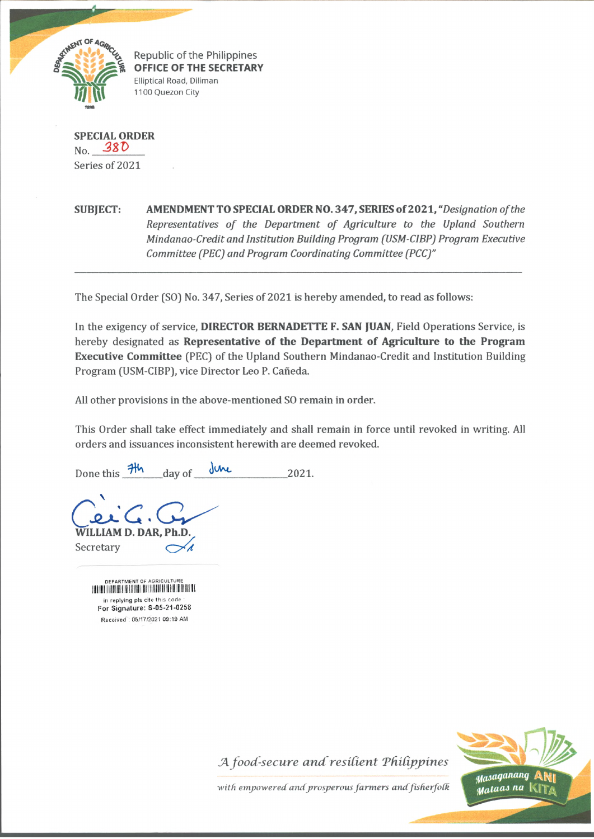

Republic of the Philippines **OFFICE OF THE SECRETARY** Elliptical Road, Diliman 1100 Quezon City

**SPECIAL ORDER**  $No. 38D$ Series of 2021

**SUBJECT: AMENDMENT TO SPECIAL ORDER NO. 347, SERIES of 2021,***"Designation of the* Representatives of the Department of Agriculture to the Upland Southern *Mindanao-Credit and Institution Building Program (USM-CIBP) Program Executive Committee (PEC) and Program Coordinating Committee (PCC)"*

The Special Order (SO) No. 347, Series of 2021 is hereby amended, to read as follows:

In the exigency of service, **DIRECTOR BERNADETTE F. SAN JUAN,** Field Operations Service, is hereby designated as **Representative of the Department of Agriculture to the Program Executive Committee** (PEC) of the Upland Southern Mindanao-Credit and Institution Building Program (USM-CIBP), vice Director Leo P. Cafieda.

All other provisions in the above-mentioned SO remain in order.

This Order shall take effect immediately and shall remain in force until revoked in writing. All orders and issuances inconsistent herewith are deemed revoked.

Done this  $\frac{1 + \mu}{\sigma}$  day of  $\frac{1 - \mu}{\sigma^2}$  2021.

WILLIAM D. DAR. Ph Secretary

DEPARTMENT OF AGRICULTURE in replying pls cite this code For Signature: S-05-21-0258 Received : 05/17/2021 09:19 AM



A food-secure and resilient Philippines

with empowered and prosperous farmers and fisherfolk